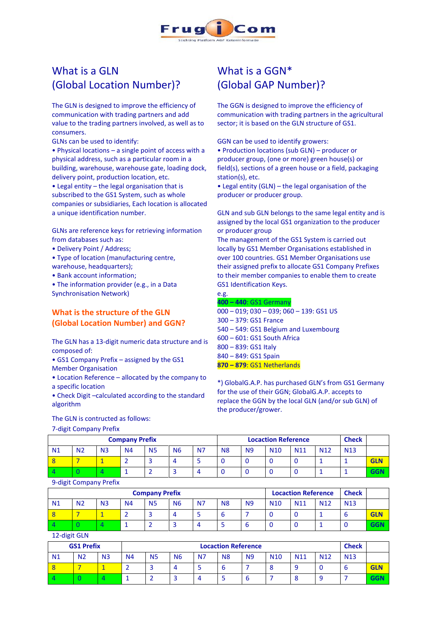

# What is a GLN (Global Location Number)?

The GLN is designed to improve the efficiency of communication with trading partners and add value to the trading partners involved, as well as to consumers.

GLNs can be used to identify:

• Physical locations – a single point of access with a physical address, such as a particular room in a building, warehouse, warehouse gate, loading dock, delivery point, production location, etc.

• Legal entity – the legal organisation that is subscribed to the GS1 System, such as whole companies or subsidiaries, Each location is allocated a unique identification number.

GLNs are reference keys for retrieving information from databases such as:

- Delivery Point / Address;
- Type of location (manufacturing centre,
- warehouse, headquarters);
- Bank account information;
- The information provider (e.g., in a Data Synchronisation Network)

### **What is the structure of the GLN (Global Location Number) and GGN?**

The GLN has a 13-digit numeric data structure and is composed of:

• GS1 Company Prefix – assigned by the GS1 Member Organisation

• Location Reference – allocated by the company to a specific location

• Check Digit –calculated according to the standard algorithm

#### The GLN is contructed as follows:

7-digit Company Prefix

## What is a GGN\* (Global GAP Number)?

The GGN is designed to improve the efficiency of communication with trading partners in the agricultural sector; it is based on the GLN structure of GS1.

GGN can be used to identify growers:

• Production locations (sub GLN) – producer or producer group, (one or more) green house(s) or field(s), sections of a green house or a field, packaging station(s), etc.

• Legal entity (GLN) – the legal organisation of the producer or producer group.

GLN and sub GLN belongs to the same legal entity and is assigned by the local GS1 organization to the producer or producer group

The management of the GS1 System is carried out locally by [GS1 Member Organisations e](http://www.gs1.org/contact/worldwide.html)stablished in over 100 countries. GS1 Member Organisations use their assigned prefix to allocate GS1 Company Prefixes to their member companies to enable them to create [GS1 Identification Keys.](http://www.gs1.org/barcodes/technical/id_keys)

| e.g.                                             |
|--------------------------------------------------|
| 400 - 440: GS1 Germany                           |
| $000 - 019$ ; $030 - 039$ ; $060 - 139$ : GS1 US |
| $300 - 379$ : GS1 France                         |
| 540 - 549: GS1 Belgium and Luxembourg            |
| 600 - 601: GS1 South Africa                      |
| 800 - 839: GS1 Italy                             |
| 840 - 849: GS1 Spain                             |
| $870 - 879$ : GS1 Netherlands                    |
|                                                  |

\*) GlobalG.A.P. has purchased GLN's from GS1 Germany for the use of their GGN; GlobalG.A.P. accepts to replace the GGN by the local GLN (and/or sub GLN) of the producer/grower.

| <b>Company Prefix</b> |                |                |           |                |           |           |                | <b>Locaction Reference</b> | <b>Check</b>    |                 |                 |                 |            |
|-----------------------|----------------|----------------|-----------|----------------|-----------|-----------|----------------|----------------------------|-----------------|-----------------|-----------------|-----------------|------------|
| N <sub>1</sub>        | N <sub>2</sub> | N <sub>3</sub> | <b>N4</b> | N <sub>5</sub> | <b>N6</b> | <b>N7</b> | N <sub>8</sub> | <b>N9</b>                  | N <sub>10</sub> | N <sub>11</sub> | N <sub>12</sub> | N <sub>13</sub> |            |
|                       |                |                |           |                |           |           |                |                            |                 |                 |                 |                 | <b>GLN</b> |
|                       |                |                |           |                |           |           |                |                            |                 |                 |                 |                 | <b>GGN</b> |

#### 9-digit Company Prefix

| <b>Company Prefix</b> |                |                |           |           |           |           |                |           |                 | <b>Locaction Reference</b> |                 |                 |            |
|-----------------------|----------------|----------------|-----------|-----------|-----------|-----------|----------------|-----------|-----------------|----------------------------|-----------------|-----------------|------------|
| N1                    | N <sub>2</sub> | N <sub>3</sub> | <b>N4</b> | <b>N5</b> | <b>N6</b> | <b>N7</b> | N <sub>8</sub> | <b>N9</b> | N <sub>10</sub> | N <sub>11</sub>            | N <sub>12</sub> | N <sub>13</sub> |            |
|                       |                |                |           |           |           |           | b              |           |                 |                            |                 |                 | <b>GLN</b> |
|                       |                |                |           |           |           |           |                |           |                 |                            |                 |                 | <b>GGN</b> |

12-digit GLN

| <b>GS1 Prefix</b> |                |                | <b>Locaction Reference</b> |                          |           |                |                |           |                 |                 |                 | <b>Check</b>    |            |
|-------------------|----------------|----------------|----------------------------|--------------------------|-----------|----------------|----------------|-----------|-----------------|-----------------|-----------------|-----------------|------------|
| N <sub>1</sub>    | N <sub>2</sub> | N <sub>3</sub> | N <sub>4</sub>             | <b>N5</b>                | <b>N6</b> | N <sub>7</sub> | N <sub>8</sub> | <b>N9</b> | N <sub>10</sub> | N <sub>11</sub> | N <sub>12</sub> | N <sub>13</sub> |            |
|                   |                |                |                            | $\overline{\phantom{0}}$ | 4         |                |                |           |                 | O               |                 |                 | <b>GLN</b> |
|                   |                |                |                            |                          |           |                |                |           |                 |                 |                 |                 | GGN        |